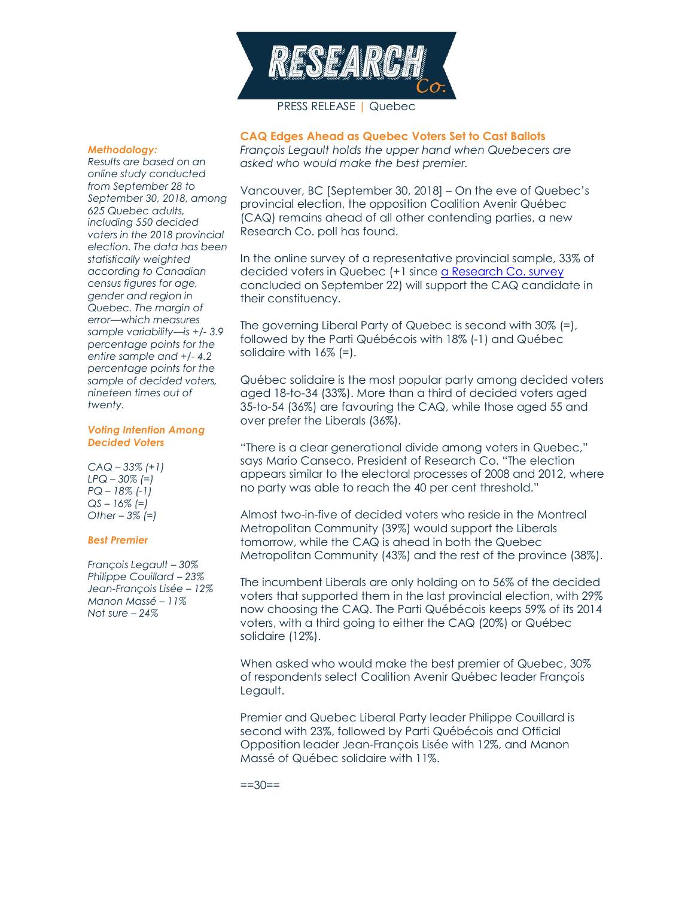

## PRESS RELEASE | Quebec

#### *Methodology:*

*Results are based on an online study conducted from September 28 to September 30, 2018, among 625 Quebec adults, including 550 decided voters in the 2018 provincial election. The data has been statistically weighted according to Canadian census figures for age, gender and region in Quebec. The margin of error—which measures sample variability—is +/- 3.9 percentage points for the entire sample and +/- 4.2 percentage points for the sample of decided voters, nineteen times out of twenty.*

#### *Voting Intention Among Decided Voters*

*CAQ – 33% (+1) LPQ – 30% (=) PQ – 18% (-1) QS – 16% (=) Other – 3% (=)*

#### *Best Premier*

*François Legault – 30% Philippe Couillard – 23% Jean-François Lisée – 12% Manon Massé – 11% Not sure – 24%*

**CAQ Edges Ahead as Quebec Voters Set to Cast Ballots**

*François Legault holds the upper hand when Quebecers are asked who would make the best premier.*

Vancouver, BC [September 30, 2018] – On the eve of Quebec's provincial election, the opposition Coalition Avenir Québec (CAQ) remains ahead of all other contending parties, a new Research Co. poll has found.

In the online survey of a representative provincial sample, 33% of decided voters in Quebec (+1 since [a Research Co. survey](https://researchco.ca/2018/09/24/quebec-2018/) concluded on September 22) will support the CAQ candidate in their constituency.

The governing Liberal Party of Quebec is second with 30% (=), followed by the Parti Québécois with 18% (-1) and Québec solidaire with 16% (=).

Québec solidaire is the most popular party among decided voters aged 18-to-34 (33%). More than a third of decided voters aged 35-to-54 (36%) are favouring the CAQ, while those aged 55 and over prefer the Liberals (36%).

"There is a clear generational divide among voters in Quebec," says Mario Canseco, President of Research Co. "The election appears similar to the electoral processes of 2008 and 2012, where no party was able to reach the 40 per cent threshold."

Almost two-in-five of decided voters who reside in the Montreal Metropolitan Community (39%) would support the Liberals tomorrow, while the CAQ is ahead in both the Quebec Metropolitan Community (43%) and the rest of the province (38%).

The incumbent Liberals are only holding on to 56% of the decided voters that supported them in the last provincial election, with 29% now choosing the CAQ. The Parti Québécois keeps 59% of its 2014 voters, with a third going to either the CAQ (20%) or Québec solidaire (12%).

When asked who would make the best premier of Quebec, 30% of respondents select Coalition Avenir Québec leader François Legault.

Premier and Quebec Liberal Party leader Philippe Couillard is second with 23%, followed by Parti Québécois and Official Opposition leader Jean-François Lisée with 12%, and Manon Massé of Québec solidaire with 11%.

 $=30==$